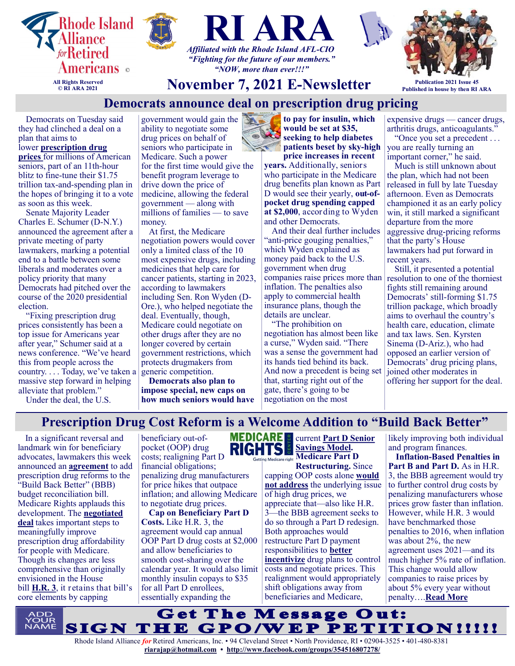



# **November 7, 2021 E-Newsletter Publication 2021 Issue 45**

*"NOW, more than ever!!!"*

#### **Published in house by then RI ARA Democrats announce deal on prescription drug pricing**

Democrats on Tuesday said they had clinched a deal on a plan that aims to

**All Rights Reserved © RI ARA 2021**

lower **[prescription drug](https://www.washingtonpost.com/health/2021/11/01/reconciliaton-medicare-prescription-price-negotiation/?itid=lk_inline_manual_2)  [prices](https://www.washingtonpost.com/health/2021/11/01/reconciliaton-medicare-prescription-price-negotiation/?itid=lk_inline_manual_2)** for millions of American seniors, part of an 11th-hour blitz to fine-tune their \$1.75 trillion tax-and-spending plan in the hopes of bringing it to a vote as soon as this week.

Senate Majority Leader Charles E. Schumer (D-N.Y.) announced the agreement after a private meeting of party lawmakers, marking a potential end to a battle between some liberals and moderates over a policy priority that many Democrats had pitched over the course of the 2020 presidential election.

"Fixing prescription drug prices consistently has been a top issue for Americans year after year," Schumer said at a news conference. "We've heard this from people across the country. . . . Today, we've taken a massive step forward in helping alleviate that problem."

Under the deal, the U.S.

government would gain the ability to negotiate some drug prices on behalf of seniors who participate in Medicare. Such a power for the first time would give the benefit program leverage to drive down the price of medicine, allowing the federal government — along with millions of families — to save money.

At first, the Medicare negotiation powers would cover only a limited class of the 10 most expensive drugs, including medicines that help care for cancer patients, starting in 2023, according to lawmakers including Sen. Ron Wyden (D-Ore.), who helped negotiate the deal. Eventually, though, Medicare could negotiate on other drugs after they are no longer covered by certain government restrictions, which protects drugmakers from generic competition.

**Democrats also plan to impose special, new caps on how much seniors would have**  **to pay for insulin, which would be set at \$35, seeking to help diabetes patients beset by sky-high price increases in recent** 

**years.** Additionally, seniors who participate in the Medicare drug benefits plan known as Part D would see their yearly, **out-ofpocket drug spending capped at \$2,000**, according to Wyden and other Democrats.

And their deal further includes "anti-price gouging penalties," which Wyden explained as money paid back to the U.S. government when drug companies raise prices more than inflation. The penalties also apply to commercial health insurance plans, though the details are unclear.

"The prohibition on negotiation has almost been like a curse," Wyden said. "There was a sense the government had its hands tied behind its back. And now a precedent is being set that, starting right out of the gate, there's going to be negotiation on the most

expensive drugs — cancer drugs, arthritis drugs, anticoagulants."

"Once you set a precedent ... you are really turning an important corner," he said.

Much is still unknown about the plan, which had not been released in full by late Tuesday afternoon. Even as Democrats championed it as an early policy win, it still marked a significant departure from the more aggressive drug-pricing reforms that the party's House lawmakers had put forward in recent years.

Still, it presented a potential resolution to one of the thorniest fights still remaining around Democrats' still-forming \$1.75 trillion package, which broadly aims to overhaul the country's health care, education, climate and tax laws. Sen. Kyrsten Sinema (D-Ariz.), who had opposed an earlier version of Democrats' drug pricing plans, joined other moderates in offering her support for the deal.

# **Prescription Drug Cost Reform is a Welcome Addition to "Build Back Better"**

In a significant reversal and landmark win for beneficiary advocates, lawmakers this week announced an **[agreement](https://www.cnn.com/2021/11/02/politics/drug-price-negotiation-democrats-deal/index.html)** to add prescription drug reforms to the "Build Back Better" (BBB) budget reconciliation bill. Medicare Rights applauds this development. The **[negotiated](https://rules.house.gov/sites/democrats.rules.house.gov/files/BILLS-117HR5376RH-RCP117-18.pdf)  [deal](https://rules.house.gov/sites/democrats.rules.house.gov/files/BILLS-117HR5376RH-RCP117-18.pdf)** takes important steps to meaningfully improve prescription drug affordability for people with Medicare. Though its changes are less comprehensive than originally envisioned in the House bill **[H.R. 3](https://www.medicarerights.org/medicare-watch/2021/05/06/medicare-rights-endorses-elijah-e-cummings-lower-drug-costs-now-act)**, it retains that bill's core elements by capping

beneficiary out-of-**RIGHTS** pocket (OOP) drug costs; realigning Part D financial obligations; penalizing drug manufacturers for price hikes that outpace inflation; and allowing Medicare to negotiate drug prices.

**Cap on Beneficiary Part D Costs.** Like H.R. 3, the agreement would cap annual OOP Part D drug costs at \$2,000 and allow beneficiaries to smooth cost-sharing over the calendar year. It would also limit monthly insulin copays to \$35 for all Part D enrollees, essentially expanding the

#### **MEDICARE** current **[Part D Senior](https://innovation.cms.gov/innovation-models/part-d-savings-model)**  E. **[Savings Model.](https://innovation.cms.gov/innovation-models/part-d-savings-model) Medicare Part D**  icare right

**Restructuring.** Since capping OOP costs alone **[would](http://www.medpac.gov/docs/default-source/reports/jun20_reporttocongress_sec.pdf?sfvrsn=0)  [not address](http://www.medpac.gov/docs/default-source/reports/jun20_reporttocongress_sec.pdf?sfvrsn=0)** the underlying issue of high drug prices, we appreciate that—also like H.R. 3—the BBB agreement seeks to do so through a Part D redesign. Both approaches would restructure Part D payment responsibilities to **[better](https://www.nejm.org/doi/full/10.1056/NEJMp1908688)  [incentivize](https://www.nejm.org/doi/full/10.1056/NEJMp1908688)** drug plans to control costs and negotiate prices. This realignment would appropriately shift obligations away from beneficiaries and Medicare,

likely improving both individual and program finances.

**Inflation-Based Penalties in Part B and Part D.** As in H.R. 3, the BBB agreement would try to further control drug costs by penalizing manufacturers whose prices grow faster than inflation. However, while H.R. 3 would have benchmarked those penalties to 2016, when inflation was about 2%, the new agreement uses 2021—and its much higher 5% rate of inflation. This change would allow companies to raise prices by about 5% every year without penalty….**[Read More](https://www.medicarerights.org/medicare-watch/2021/11/04/prescription-drug-cost-reform-is-a-welcome-addition-to-the-build-back-better-budget-bill)**

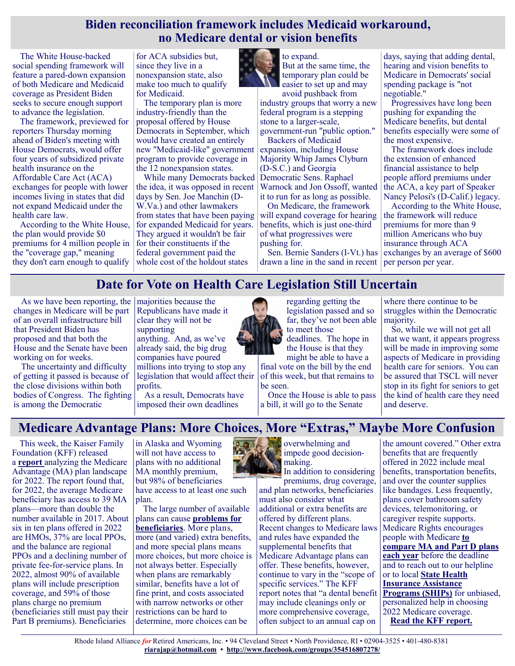#### **Biden reconciliation framework includes Medicaid workaround, no Medicare dental or vision benefits**

The White House-backed social spending framework will feature a pared-down expansion of both Medicare and Medicaid coverage as President Biden seeks to secure enough support to advance the legislation.

The framework, previewed for reporters Thursday morning ahead of Biden's meeting with House Democrats, would offer four years of subsidized private health insurance on the Affordable Care Act (ACA) exchanges for people with lower incomes living in states that did not expand Medicaid under the health care law.

According to the White House, the plan would provide \$0 premiums for 4 million people in the "coverage gap," meaning they don't earn enough to qualify

for ACA subsidies but, since they live in a nonexpansion state, also make too much to qualify for Medicaid.

The temporary plan is more industry-friendly than the proposal offered by House Democrats in September, which would have created an entirely new "Medicaid-like" government program to provide coverage in the 12 nonexpansion states.

While many Democrats backed the idea, it was opposed in recent days by Sen. Joe Manchin (D-W.Va.) and other lawmakers from states that have been paying for expanded Medicaid for years. They argued it wouldn't be fair for their constituents if the federal government paid the whole cost of the holdout states



to expand. But at the same time, the temporary plan could be easier to set up and may

avoid pushback from industry groups that worry a new federal program is a stepping stone to a larger-scale, government-run "public option."

Backers of Medicaid expansion, including House Majority Whip James Clyburn (D-S.C.) and Georgia Democratic Sens. Raphael Warnock and Jon Ossoff, wanted it to run for as long as possible.

On Medicare, the framework will expand coverage for hearing benefits, which is just one-third of what progressives were pushing for.

Sen. Bernie Sanders (I-Vt.) has drawn a line in the sand in recent days, saying that adding dental, hearing and vision benefits to Medicare in Democrats' social spending package is "not negotiable."

Progressives have long been pushing for expanding the Medicare benefits, but dental benefits especially were some of the most expensive.

The framework does include the extension of enhanced financial assistance to help people afford premiums under the ACA, a key part of Speaker Nancy Pelosi's (D-Calif.) legacy.

According to the White House, the framework will reduce premiums for more than 9 million Americans who buy insurance through ACA exchanges by an average of \$600 per person per year.

# **Date for Vote on Health Care Legislation Still Uncertain**

As we have been reporting, the majorities because the changes in Medicare will be part of an overall infrastructure bill that President Biden has proposed and that both the House and the Senate have been working on for weeks.

The uncertainty and difficulty of getting it passed is because of the close divisions within both bodies of Congress. The fighting is among the Democratic

Republicans have made it clear they will not be supporting

anything. And, as we've already said, the big drug companies have poured millions into trying to stop any legislation that would affect their

profits. As a result, Democrats have imposed their own deadlines



regarding getting the legislation passed and so far, they've not been able to meet those

deadlines. The hope in the House is that they

might be able to have a final vote on the bill by the end of this week, but that remains to be seen.

Once the House is able to pass a bill, it will go to the Senate

where there continue to be struggles within the Democratic majority.

So, while we will not get all that we want, it appears progress will be made in improving some aspects of Medicare in providing health care for seniors. You can be assured that TSCL will never stop in its fight for seniors to get the kind of health care they need and deserve.

# **Medicare Advantage Plans: More Choices, More "Extras," Maybe More Confusion**

This week, the Kaiser Family Foundation (KFF) released a **[report](https://www.kff.org/medicare/issue-brief/medicare-advantage-2022-spotlight-first-look/)** analyzing the Medicare Advantage (MA) plan landscape for 2022. The report found that, for 2022, the average Medicare beneficiary has access to 39 MA plans—more than double the number available in 2017. About six in ten plans offered in 2022 are HMOs, 37% are local PPOs, and the balance are regional PPOs and a declining number of private fee-for-service plans. In 2022, almost 90% of available plans will include prescription coverage, and 59% of those plans charge no premium (beneficiaries still must pay their Part B premiums). Beneficiaries

in Alaska and Wyoming will not have access to plans with no additional MA monthly premium, but 98% of beneficiaries

have access to at least one such plan.

The large number of available plans can cause **[problems for](https://www.arnoldventures.org/stories/is-too-much-choice-a-bad-thing)  [beneficiaries](https://www.arnoldventures.org/stories/is-too-much-choice-a-bad-thing)**. More plans, more (and varied) extra benefits, and more special plans means more choices, but more choice is not always better. Especially when plans are remarkably similar, benefits have a lot of fine print, and costs associated with narrow networks or other restrictions can be hard to determine, more choices can be

**overwhelming and** impede good decisionmaking.

In addition to considering premiums, drug coverage, and plan networks, beneficiaries must also consider what additional or extra benefits are offered by different plans. Recent changes to Medicare laws and rules have expanded the supplemental benefits that Medicare Advantage plans can offer. These benefits, however, continue to vary in the "scope of specific services." The KFF report notes that "a dental benefit may include cleanings only or more comprehensive coverage, often subject to an annual cap on

the amount covered." Other extra benefits that are frequently offered in 2022 include meal benefits, transportation benefits, and over the counter supplies like bandages. Less frequently, plans cover bathroom safety devices, telemonitoring, or caregiver respite supports. Medicare Rights encourages people with Medicare **[to](https://www.medicarerights.org/medicare-watch/2021/10/14/people-with-medicare-should-compare-medicare-advantage-and-part-d-plans-each-year)  [compare MA and Part D plans](https://www.medicarerights.org/medicare-watch/2021/10/14/people-with-medicare-should-compare-medicare-advantage-and-part-d-plans-each-year)  [each year](https://www.medicarerights.org/medicare-watch/2021/10/14/people-with-medicare-should-compare-medicare-advantage-and-part-d-plans-each-year)** before the deadline and to reach out to our helpline or to local **[State Health](https://www.shiphelp.org/)  [Insurance Assistance](https://www.shiphelp.org/)  [Programs \(SHIPs\)](https://www.shiphelp.org/)** for unbiased, personalized help in choosing 2022 Medicare coverage. **[Read the KFF report.](https://www.kff.org/medicare/issue-brief/medicare-advantage-2022-spotlight-first-look/)**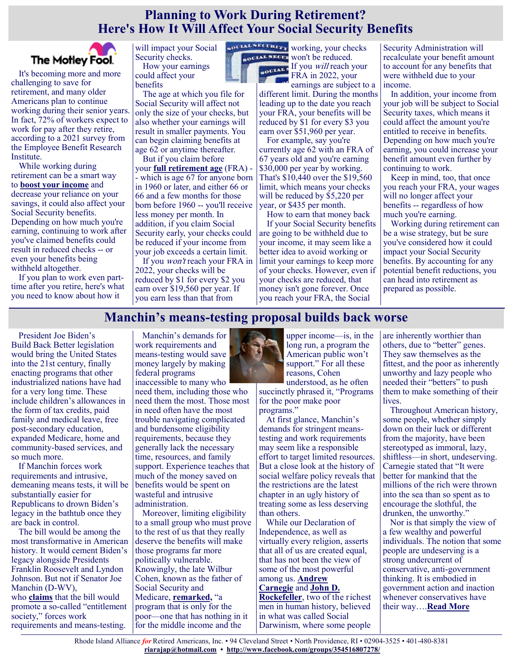# **Planning to Work During Retirement? Here's How It Will Affect Your Social Security Benefits**



It's becoming more and more challenging to save for retirement, and many older Americans plan to continue working during their senior years. In fact, 72% of workers expect to work for pay after they retire, according to a 2021 survey from the Employee Benefit Research Institute.

While working during retirement can be a smart way to **[boost your income](https://www.fool.com/retirement/2021/10/23/3-ways-to-effortlessly-boost-retirement-savings/?utm_source=msnrss&utm_medium=feed&utm_campaign=article&referring_guid=935d813f-bae5-4397-ac3d-5ee4578e2bae)** and decrease your reliance on your savings, it could also affect your Social Security benefits. Depending on how much you're earning, continuing to work after you've claimed benefits could result in reduced checks -- or even your benefits being withheld altogether.

If you plan to work even parttime after you retire, here's what you need to know about how it

will impact your Social Security checks. How your earnings could affect your benefits

The age at which you file for Social Security will affect not only the size of your checks, but also whether your earnings will result in smaller payments. You can begin claiming benefits at age 62 or anytime thereafter.

But if you claim before your **[full retirement age](https://www.fool.com/retirement/social-security/full-retirement-age/?utm_source=msnrss&utm_medium=feed&utm_campaign=article&referring_guid=935d813f-bae5-4397-ac3d-5ee4578e2bae)** (FRA) - - which is age 67 for anyone born in 1960 or later, and either 66 or 66 and a few months for those born before 1960 -- you'll receive less money per month. In addition, if you claim Social Security early, your checks could be reduced if your income from your job exceeds a certain limit.

If you won't reach your FRA in 2022, your checks will be reduced by \$1 for every \$2 you earn over \$19,560 per year. If you earn less than that from



won't be reduced. **EXAMPLE If you will reach your** FRA in 2022, your earnings are subject to a

different limit. During the months leading up to the date you reach your FRA, your benefits will be reduced by \$1 for every \$3 you earn over \$51,960 per year.

For example, say you're currently age 62 with an FRA of 67 years old and you're earning \$30,000 per year by working. That's \$10,440 over the \$19,560 limit, which means your checks will be reduced by \$5,220 per year, or \$435 per month.

How to earn that money back If your Social Security benefits are going to be withheld due to your income, it may seem like a better idea to avoid working or limit your earnings to keep more of your checks. However, even if your checks are reduced, that money isn't gone forever. Once you reach your FRA, the Social

Security Administration will recalculate your benefit amount to account for any benefits that were withheld due to your income.

In addition, your income from your job will be subject to Social Security taxes, which means it could affect the amount you're entitled to receive in benefits. Depending on how much you're earning, you could increase your benefit amount even further by continuing to work.

Keep in mind, too, that once you reach your FRA, your wages will no longer affect your benefits -- regardless of how much you're earning.

Working during retirement can be a wise strategy, but be sure you've considered how it could impact your Social Security benefits. By accounting for any potential benefit reductions, you can head into retirement as prepared as possible.

# **Manchin's means-testing proposal builds back worse**

President Joe Biden's Build Back Better legislation would bring the United States into the 21st century, finally enacting programs that other industrialized nations have had for a very long time. These include children's allowances in the form of tax credits, paid family and medical leave, free post-secondary education, expanded Medicare, home and community-based services, and so much more.

If Manchin forces work requirements and intrusive, demeaning means tests, it will be substantially easier for Republicans to drown Biden's legacy in the bathtub once they are back in control.

The bill would be among the most transformative in American history. It would cement Biden's legacy alongside Presidents Franklin Roosevelt and Lyndon Johnson. But not if Senator Joe Manchin (D-WV), who **[claims](https://www.businessinsider.com/sen-manchin-says-bernie-sanders-wants-entitlement-society-2021-10)** that the bill would promote a so-called "entitlement society," forces work requirements and means-testing.

Manchin's demands for work requirements and means-testing would save money largely by making federal programs inaccessible to many who

need them, including those who need them the most. Those most in need often have the most trouble navigating complicated and burdensome eligibility requirements, because they generally lack the necessary time, resources, and family support. Experience teaches that much of the money saved on benefits would be spent on wasteful and intrusive administration.

Moreover, limiting eligibility to a small group who must prove to the rest of us that they really deserve the benefits will make those programs far more politically vulnerable. Knowingly, the late Wilbur Cohen, known as the father of Social Security and Medicare, **[remarked,](https://www.aei.org/wp-content/uploads/2015/03/Social-Security-Universal-or-Selective-txt.pdf?x91208)** "a program that is only for the poor—one that has nothing in it for the middle income and the



upper income—is, in the long run, a program the American public won't support." For all these reasons, Cohen understood, as he often

succinctly phrased it, "Programs for the poor make poor programs."

At first glance, Manchin's demands for stringent meanstesting and work requirements may seem like a responsible effort to target limited resources. But a close look at the history of social welfare policy reveals that the restrictions are the latest chapter in an ugly history of treating some as less deserving than others.

While our Declaration of Independence, as well as virtually every religion, asserts that all of us are created equal, that has not been the view of some of the most powerful among us. **Andrew [Carnegie](https://socialwelfare.library.vcu.edu/issues/social-darwinism-poor/)** and **[John D.](https://guides.loc.gov/chronicling-america-john-rockefeller)  [Rockefeller](https://guides.loc.gov/chronicling-america-john-rockefeller)**, two of the richest

men in human history, believed in what was called Social Darwinism, where some people are inherently worthier than others, due to "better" genes. They saw themselves as the fittest, and the poor as inherently unworthy and lazy people who needed their "betters" to push them to make something of their lives.

Throughout American history, some people, whether simply down on their luck or different from the majority, have been stereotyped as immoral, lazy, shiftless—in short, undeserving. Carnegie stated that "It were better for mankind that the millions of the rich were thrown into the sea than so spent as to encourage the slothful, the drunken, the unworthy."

Nor is that simply the view of a few wealthy and powerful individuals. The notion that some people are undeserving is a strong undercurrent of conservative, anti-government thinking. It is embodied in government action and inaction whenever conservatives have their way….**[Read More](https://justcareusa.org/manchins-means-testing-proposal-builds-back-worse/)**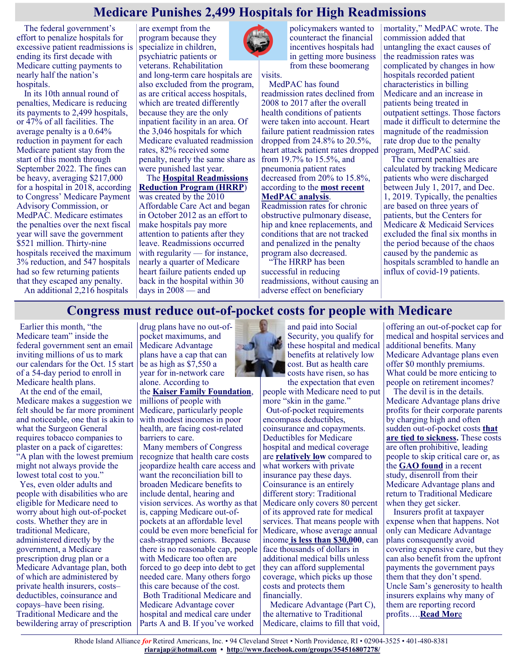# **Medicare Punishes 2,499 Hospitals for High Readmissions**

The federal government's effort to penalize hospitals for excessive patient readmissions is ending its first decade with Medicare cutting payments to nearly half the nation's hospitals.

In its 10th annual round of penalties, Medicare is reducing its payments to 2,499 hospitals, or 47% of all facilities. The average penalty is a 0.64% reduction in payment for each Medicare patient stay from the start of this month through September 2022. The fines can be heavy, averaging \$217,000 for a hospital in 2018, according to Congress' Medicare Payment Advisory Commission, or MedPAC. Medicare estimates the penalties over the next fiscal year will save the government \$521 million. Thirty-nine hospitals received the maximum 3% reduction, and 547 hospitals had so few returning patients that they escaped any penalty.

are exempt from the program because they specialize in children, psychiatric patients or veterans. Rehabilitation and long-term care hospitals are also excluded from the program, as are critical access hospitals, which are treated differently because they are the only inpatient facility in an area. Of the 3,046 hospitals for which Medicare evaluated readmission rates, 82% received some penalty, nearly the same share as were punished last year.

The **[Hospital Readmissions](https://qualitynet.cms.gov/inpatient/hrrp)  [Reduction Program \(HRRP](https://qualitynet.cms.gov/inpatient/hrrp)**) was created by the 2010 Affordable Care Act and began in October 2012 as an effort to make hospitals pay more attention to patients after they leave. Readmissions occurred with regularity — for instance, nearly a quarter of Medicare heart failure patients ended up back in the hospital within 30 days in 2008 — and



policymakers wanted to counteract the financial incentives hospitals had in getting more business from these boomerang

visits.

MedPAC has found readmission rates declined from 2008 to 2017 after the overall health conditions of patients were taken into account. Heart failure patient readmission rates dropped from 24.8% to 20.5%, heart attack patient rates dropped from 19.7% to 15.5%, and pneumonia patient rates decreased from 20% to 15.8%, according to the **[most recent](http://medpac.gov/-blog-/update-on-medpac-s-evaluation-of-medicare-s-hospital-readmission-reduction-program/2019/12/02/update-medpac-s-evaluation-of-medicare-s-hospital-readmission-reduction-program)  [MedPAC analysis](http://medpac.gov/-blog-/update-on-medpac-s-evaluation-of-medicare-s-hospital-readmission-reduction-program/2019/12/02/update-medpac-s-evaluation-of-medicare-s-hospital-readmission-reduction-program)**.

Readmission rates for chronic obstructive pulmonary disease, hip and knee replacements, and conditions that are not tracked and penalized in the penalty program also decreased.

"The HRRP has been successful in reducing readmissions, without causing an adverse effect on beneficiary

mortality," MedPAC wrote. The commission added that untangling the exact causes of the readmission rates was complicated by changes in how hospitals recorded patient characteristics in billing Medicare and an increase in patients being treated in outpatient settings. Those factors made it difficult to determine the magnitude of the readmission rate drop due to the penalty program, MedPAC said.

The current penalties are calculated by tracking Medicare patients who were discharged between July 1, 2017, and Dec. 1, 2019. Typically, the penalties are based on three years of patients, but the Centers for Medicare & Medicaid Services excluded the final six months in the period because of the chaos caused by the pandemic as hospitals scrambled to handle an influx of covid-19 patients.

An additional 2,216 hospitals

# **Congress must reduce out-of-pocket costs for people with Medicare**

Earlier this month, "the Medicare team" inside the federal government sent an email inviting millions of us to mark our calendars for the Oct. 15 start of a 54-day period to enroll in Medicare health plans.

At the end of the email, Medicare makes a suggestion we felt should be far more prominent and noticeable, one that is akin to what the Surgeon General requires tobacco companies to plaster on a pack of cigarettes: "A plan with the lowest premium might not always provide the lowest total cost to you."

Yes, even older adults and people with disabilities who are eligible for Medicare need to worry about high out-of-pocket costs. Whether they are in traditional Medicare, administered directly by the government, a Medicare prescription drug plan or a Medicare Advantage plan, both of which are administered by private health insurers, costs– deductibles, coinsurance and copays–have been rising. Traditional Medicare and the bewildering array of prescription

drug plans have no out-ofpocket maximums, and Medicare Advantage plans have a cap that can be as high as \$7,550 a year for in-network care alone. According to the **[Kaiser Family Foundation](https://www.kff.org/medicare/issue-brief/cost-related-problems-are-less-common-among-beneficiaries-in-traditional-medicare-than-in-medicare-advantage-mainly-due-to-supplemental-coverage/)**, millions of people with

Medicare, particularly people with modest incomes in poor health, are facing cost-related barriers to care.

Many members of Congress recognize that health care costs jeopardize health care access and want the reconciliation bill to broaden Medicare benefits to include dental, hearing and vision services. As worthy as that Medicare only covers 80 percent is, capping Medicare out-ofpockets at an affordable level could be even more beneficial for Medicare, whose average annual cash-strapped seniors. Because there is no reasonable cap, people face thousands of dollars in with Medicare too often are forced to go deep into debt to get needed care. Many others forgo this care because of the cost. Both Traditional Medicare and Medicare Advantage cover hospital and medical care under Parts A and B. If you've worked



and paid into Social Security, you qualify for these hospital and medical benefits at relatively low cost. But as health care costs have risen, so has the expectation that even

people with Medicare need to put more "skin in the game." Out-of-pocket requirements encompass deductibles, coinsurance and copayments. Deductibles for Medicare hospital and medical coverage are **[relatively low](https://www.medicare.gov/your-medicare-costs/medicare-costs-at-a-glance)** compared to what workers with private insurance pay these days. Coinsurance is an entirely different story: Traditional of its approved rate for medical services. That means people with income **[is less than \\$30,000](https://www.pensionrights.org/publications/statistic/income-today%E2%80%99s-older-adults)**, can additional medical bills unless they can afford supplemental coverage, which picks up those costs and protects them financially.

Medicare Advantage (Part C), the alternative to Traditional Medicare, claims to fill that void,

offering an out-of-pocket cap for medical and hospital services and additional benefits. Many Medicare Advantage plans even offer \$0 monthly premiums. What could be more enticing to people on retirement incomes?

The devil is in the details. Medicare Advantage plans drive profits for their corporate parents by charging high and often sudden out-of-pocket costs **[that](https://www.investopedia.com/articles/personal-finance/010816/pitfalls-medicare-advantage-plans.asp)  [are tied to sickness.](https://www.investopedia.com/articles/personal-finance/010816/pitfalls-medicare-advantage-plans.asp)** These costs are often prohibitive, leading people to skip critical care or, as the **[GAO found](https://www.gao.gov/assets/gao-21-482.pdf)** in a recent study, disenroll from their Medicare Advantage plans and return to Traditional Medicare when they get sicker.

Insurers profit at taxpayer expense when that happens. Not only can Medicare Advantage plans consequently avoid covering expensive care, but they can also benefit from the upfront payments the government pays them that they don't spend. Uncle Sam's generosity to health insurers explains why many of them are reporting record profits….**[Read Mor](https://justcareusa.org/congress-must-reduce-out-of-pocket-costs-for-people-with-medicare/)**e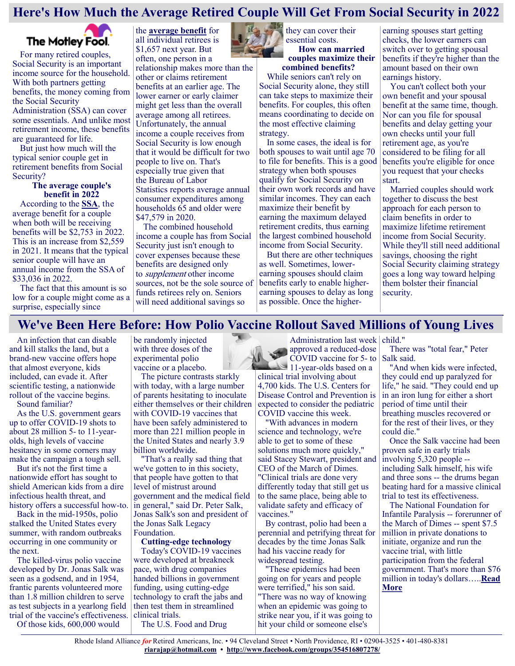# **Here's How Much the Average Retired Couple Will Get From Social Security in 2022**



For many retired couples, Social Security is an important income source for the household. With both partners getting benefits, the money coming from the Social Security Administration (SSA) can cover some essentials. And unlike most retirement income, these benefits are guaranteed for life.

But just how much will the typical senior couple get in retirement benefits from Social Security?

#### **The average couple's benefit in 2022**

According to the **[SSA](https://www.fool.com/retirement/social-security/?utm_source=msnrss&utm_medium=feed&utm_campaign=article&referring_guid=c5f79541-f5d6-45f1-aff7-8917418d1810)**, the average benefit for a couple when both will be receiving benefits will be \$2,753 in 2022. This is an increase from \$2,559 in 2021. It means that the typical senior couple will have an annual income from the SSA of \$33,036 in 2022.

The fact that this amount is so low for a couple might come as a surprise, especially since

the **[average benefit](https://www.fool.com/investing/2021/10/24/average-social-security-benefit-will-rise-in-2022/?utm_source=msnrss&utm_medium=feed&utm_campaign=article&referring_guid=c5f79541-f5d6-45f1-aff7-8917418d1810)** for all individual retirees is \$1,657 next year. But often, one person in a

relationship makes more than the other or claims retirement benefits at an earlier age. The lower earner or early claimer might get less than the overall average among all retirees. Unfortunately, the annual income a couple receives from Social Security is low enough that it would be difficult for two people to live on. That's especially true given that the [Bureau of Labor](https://www.bls.gov/cex/tables/calendar-year/mean-item-share-average-standard-error/reference-person-age-ranges-2020.pdf)  [Statistics](https://www.bls.gov/cex/tables/calendar-year/mean-item-share-average-standard-error/reference-person-age-ranges-2020.pdf) reports average annual consumer expenditures among households 65 and older were \$47,579 in 2020.

The combined household income a couple has from Social Security just isn't enough to cover expenses because these benefits are designed only to supplement other income sources, not be the sole source of funds retirees rely on. Seniors will need additional savings so

ЩA, they can cover their essential costs. **How can married** 

**couples maximize their combined benefits?**

While seniors can't rely on Social Security alone, they still can take steps to maximize their benefits. For couples, this often means coordinating to decide on the most effective claiming strategy.

In some cases, the ideal is for both spouses to wait until age 70 to file for benefits. This is a good strategy when both spouses qualify for Social Security on their own work records and have similar incomes. They can each maximize their benefit by earning the maximum delayed [retirement credits,](https://www.fool.com/retirement/2018/01/17/delayed-retirement-credits-what-they-are-and-why-t.aspx?utm_source=msnrss&utm_medium=feed&utm_campaign=article&referring_guid=c5f79541-f5d6-45f1-aff7-8917418d1810) thus earning the largest combined household income from Social Security.

But there are other techniques as well. Sometimes, lowerearning spouses should claim benefits early to enable higherearning spouses to delay as long as possible. Once the higherearning spouses start getting checks, the lower earners can switch over to getting spousal benefits if they're higher than the amount based on their own earnings history.

You can't collect both your own benefit and your spousal benefit at the same time, though. Nor can you file for spousal benefits and delay getting your own checks until your full retirement age, as you're considered to be filing for all benefits you're eligible for once you request that your checks start.

Married couples should work together to discuss the best approach for each person to claim benefits in order to maximize lifetime retirement income from Social Security. While they'll still need additional savings, choosing the right Social Security claiming strategy goes a long way toward helping them bolster their financial security.

#### **We've Been Here Before: How Polio Vaccine Rollout Saved Millions of Young Lives**

An infection that can disable and kill stalks the land, but a brand-new vaccine offers hope that almost everyone, kids included, can evade it. After scientific testing, a nationwide rollout of the vaccine begins.

Sound familiar?

As the U.S. government gears up to offer COVID-19 shots to about 28 million 5- to 11-yearolds, high levels of vaccine hesitancy in some corners may make the campaign a tough sell.

But it's not the first time a nationwide effort has sought to shield American kids from a dire infectious health threat, and history offers a successful how-to.

Back in the mid-1950s, polio stalked the United States every summer, with random outbreaks occurring in one community or the next.

The killed-virus polio vaccine developed by Dr. Jonas Salk was seen as a godsend, and in 1954, frantic parents volunteered more than 1.8 million children to serve as test subjects in a yearlong field trial of the vaccine's effectiveness.

Of those kids, 600,000 would

be randomly injected with three doses of the experimental polio vaccine or a placebo.

The picture contrasts starkly with today, with a large number of parents hesitating to inoculate either themselves or their children with COVID-19 vaccines that have been safely administered to more than 221 million people in the United States and nearly 3.9 billion worldwide.

"That's a really sad thing that we've gotten to in this society, that people have gotten to that level of mistrust around government and the medical field in general," said Dr. Peter Salk, Jonas Salk's son and president of the Jonas Salk Legacy Foundation.

**Cutting-edge technology**

Today's COVID-19 vaccines were developed at breakneck pace, with drug companies handed billions in government funding, using cutting-edge technology to craft the jabs and then test them in streamlined clinical trials.

The U.S. Food and Drug



clinical trial involving about 4,700 kids. The U.S. Centers for Disease Control and Prevention is expected to consider the pediatric COVID vaccine this week.

"With advances in modern science and technology, we're able to get to some of these solutions much more quickly," said Stacey Stewart, president and CEO of the March of Dimes. "Clinical trials are done very differently today that still get us to the same place, being able to validate safety and efficacy of vaccines."

By contrast, polio had been a perennial and petrifying threat for decades by the time Jonas Salk had his vaccine ready for widespread testing.

"These epidemics had been going on for years and people were terrified," his son said. "There was no way of knowing when an epidemic was going to strike near you, if it was going to hit your child or someone else's

There was "total fear," Peter Salk said.

"And when kids were infected, they could end up paralyzed for life," he said. "They could end up in an iron lung for either a short period of time until their breathing muscles recovered or for the rest of their lives, or they could die."

Once the Salk vaccine had been proven safe in early trials involving 5,320 people - including Salk himself, his wife and three sons -- the drums began beating hard for a massive clinical trial to test its effectiveness.

The National Foundation for Infantile Paralysis -- forerunner of the March of Dimes -- spent \$7.5 million in private donations to initiate, organize and run the vaccine trial, with little participation from the federal government. That's more than \$76 million in today's dollars…..**[Read](https://consumer.healthday.com/10-28-salk-polio-vaccine-story-revisited-2655318266.html)  [More](https://consumer.healthday.com/10-28-salk-polio-vaccine-story-revisited-2655318266.html)**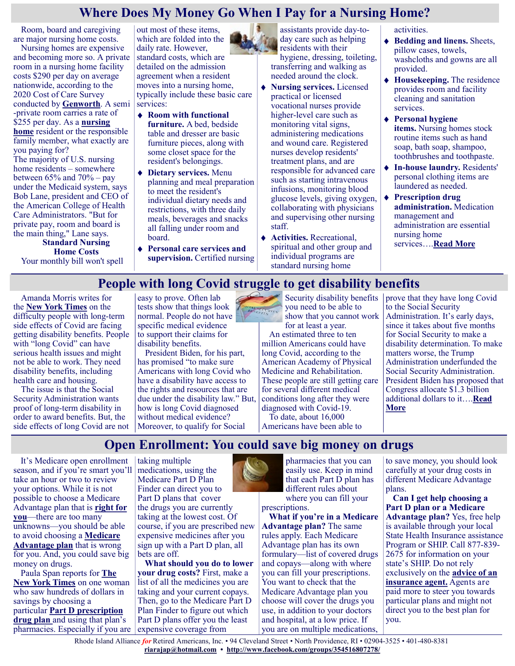#### **Where Does My Money Go When I Pay for a Nursing Home?**

Room, board and caregiving are major nursing home costs.

Nursing homes are expensive and becoming more so. A private room in a nursing home facility costs \$290 per day on average nationwide, according to the 2020 Cost of Care Survey conducted by **[Genworth](https://www.genworth.com/aging-and-you/finances/cost-of-care.html)**. A semi -private room carries a rate of \$255 per day. As a **[nursing](https://health.usnews.com/best-nursing-homes)  [home](https://health.usnews.com/best-nursing-homes)** resident or the responsible family member, what exactly are you paying for? The majority of U.S. nursing home residents – somewhere between  $65\%$  and  $70\%$  – pay under the Medicaid system, says Bob Lane, president and CEO of the American College of Health

Care Administrators. "But for private pay, room and board is the main thing," Lane says. **Standard Nursing**

**Home Costs** Your monthly bill won't spell out most of these items, which are folded into the daily rate. However, standard [costs,](https://health.usnews.com/best-nursing-homes/articles/how-to-pay-for-nursing-home-costs) which are detailed on the admission agreement when a resident moves into a nursing home, typically include these basic care services:

- **Room with functional furniture.** A bed, bedside table and dresser are basic furniture pieces, along with some closet space for the resident's belongings.
- **Dietary services.** Menu planning and meal preparation to meet the resident's individual dietary needs and restrictions, with three daily meals, beverages and snacks all falling under room and board.
- **Personal care services and supervision.** Certified nursing

assistants provide day-today care such as helping residents with their

hygiene, dressing, toileting, transferring and walking as needed around the clock.

- **Nursing services.** Licensed practical or licensed vocational nurses provide higher-level care such as monitoring vital signs, administering medications and wound care. Registered nurses develop residents' treatment plans, and are responsible for advanced care such as starting intravenous infusions, monitoring blood glucose levels, giving oxygen, collaborating with physicians and supervising other nursing staff.
- **Activities.** Recreational, spiritual and other group and individual programs are standard nursing home

activities.

- **Bedding and linens.** Sheets, pillow cases, towels, washcloths and gowns are all provided.
- **Housekeeping.** The residence provides room and facility cleaning and sanitation services.
- **Personal hygiene items.** Nursing homes stock routine items such as hand soap, bath soap, shampoo, toothbrushes and toothpaste.
- **In-house laundry.** Residents' personal clothing items are laundered as needed.
- **Prescription drug administration.** Medication management and administration are essential nursing home services….**[Read More](https://health.usnews.com/best-nursing-homes/articles/where-does-my-money-go-when-i-pay-for-a-nursing-home)**

# **People with long Covid struggle to get disability benefits**

Amanda Morris writes for the **[New York Times](https://www.nytimes.com/2021/10/27/us/long-covid-disability-benefits.html)** on the difficulty people with long-term side effects of Covid are facing getting disability benefits. People with "long Covid" can have serious health issues and might not be able to work. They need disability benefits, including health care and housing.

The issue is that the Social Security Administration wants proof of long-term disability in order to award benefits. But, the side effects of long Covid are not easy to prove. Often lab tests show that things look normal. People do not have specific medical evidence to support their claims for disability benefits.

President Biden, for his part, has promised "to make sure Americans with long Covid who have a disability have access to the rights and resources that are due under the disability law." But, how is long Covid diagnosed without medical evidence? Moreover, to qualify for Social

you need to be able to BENEFITS show that you cannot work for at least a year.

An estimated three to ten million Americans could have long Covid, according to the American Academy of Physical Medicine and Rehabilitation. These people are still getting care for several different medical conditions long after they were diagnosed with Covid-19. To date, about 16,000

Americans have been able to

Security disability benefits prove that they have long Covid to the Social Security Administration. It's early days, since it takes about five months for Social Security to make a disability determination. To make matters worse, the Trump Administration underfunded the Social Security Administration. President Biden has proposed that Congress allocate \$1.3 billion additional dollars to it….**[Read](https://justcareusa.org/people-with-long-covid-struggle-to-get-disability-benefits/)  [More](https://justcareusa.org/people-with-long-covid-struggle-to-get-disability-benefits/)**

# **Open Enrollment: You could save big money on drugs**

It's Medicare open enrollment season, and if you're smart you'll take an hour or two to review your options. While it is not possible to choose a Medicare Advantage plan that is **[right for](https://justcareusa.org/three-reasons-why-you-cant-choose-a-health-plan-thats-right-for-you/)  [you](https://justcareusa.org/three-reasons-why-you-cant-choose-a-health-plan-thats-right-for-you/)**—there are too many unknowns—you should be able to avoid choosing a **[Medicare](https://justcareusa.org/most-people-choose-traditional-medicare-over-medicare-advantage/)  [Advantage plan](https://justcareusa.org/most-people-choose-traditional-medicare-over-medicare-advantage/)** that is wrong for you. And, you could save big money on drugs.

Paula Span reports for **[The](https://www.nytimes.com/2021/10/30/health/open-enrollment-health-insurance-medicare.html)  [New York Times](https://www.nytimes.com/2021/10/30/health/open-enrollment-health-insurance-medicare.html)** on one woman who saw hundreds of dollars in savings by choosing a particular **[Part D prescription](https://justcareusa.org/medicare-part-d-drug-coverage-in-2021/)  [drug plan](https://justcareusa.org/medicare-part-d-drug-coverage-in-2021/)** and using that plan's pharmacies. Especially if you are taking multiple medications, using the Medicare Part D Plan Finder can direct you to Part D plans that cover the drugs you are currently taking at the lowest cost. Of course, if you are prescribed new expensive medicines after you sign up with a Part D plan, all bets are off.

**What should you do to lower your drug costs?** First, make a list of all the medicines you are taking and your current copays. Then, go to the Medicare Part D Plan Finder to figure out which Part D plans offer you the least expensive coverage from



pharmacies that you can easily use. Keep in mind that each Part D plan has different rules about where you can fill your

prescriptions.

**What if you're in a Medicare Advantage plan?** The same rules apply. Each Medicare Advantage plan has its own formulary—list of covered drugs and copays—along with where you can fill your prescriptions. You want to check that the Medicare Advantage plan you choose will cover the drugs you use, in addition to your doctors and hospital, at a low price. If you are on multiple medications,

to save money, you should look carefully at your drug costs in different Medicare Advantage plans.

**Can I get help choosing a Part D plan or a Medicare Advantage plan?** Yes, free help is available through your local State Health Insurance assistance Program or SHIP. Call 877-839- 2675 for information on your state's SHIP. Do not rely exclusively on the **[advice of an](https://justcareusa.org/medicare-open-enrollment-dont-trust-insurance-agents/)  [insurance agent.](https://justcareusa.org/medicare-open-enrollment-dont-trust-insurance-agents/)** Agents are paid more to steer you towards particular plans and might not direct you to the best plan for you.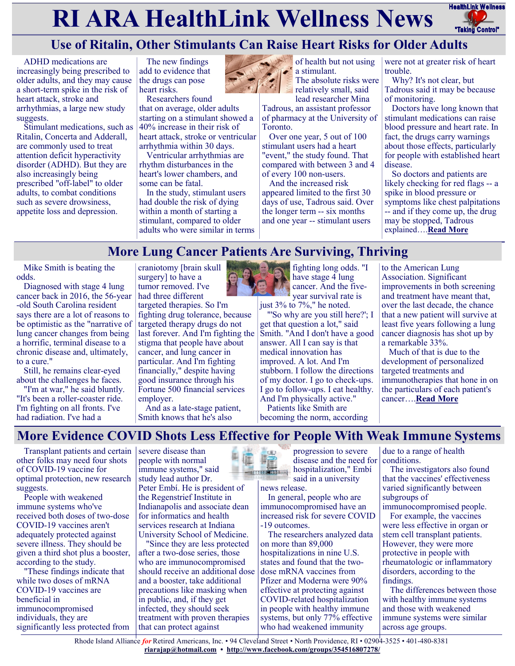# **RI ARA HealthLink Wellness News** HealthLink Wellness



# **Use of Ritalin, Other Stimulants Can Raise Heart Risks for Older Adults**

ADHD medications are increasingly being prescribed to older adults, and they may cause a short-term spike in the risk of heart attack, stroke and arrhythmias, a large new study suggests.

Stimulant medications, such as Ritalin, Concerta and Adderall, are commonly used to treat attention deficit hyperactivity disorder (ADHD). But they are also increasingly being prescribed "off-label" to older adults, to combat conditions such as severe drowsiness, appetite loss and depression.

The new findings add to evidence that the drugs can pose heart risks.

Researchers found that on average, older adults starting on a stimulant showed a 40% increase in their risk of heart attack, stroke or ventricular arrhythmia within 30 days.

Ventricular arrhythmias are rhythm disturbances in the heart's lower chambers, and some can be fatal.

In the study, stimulant users had double the risk of dying within a month of starting a stimulant, compared to older adults who were similar in terms



of health but not using a stimulant. The absolute risks were relatively small, said

lead researcher Mina Tadrous, an assistant professor

of pharmacy at the University of **Toronto** 

Over one year, 5 out of 100 stimulant users had a heart "event," the study found. That compared with between 3 and 4 of every 100 non-users.

And the increased risk appeared limited to the first 30 days of use, Tadrous said. Over the longer term -- six months and one year -- stimulant users

were not at greater risk of heart trouble.

Why? It's not clear, but Tadrous said it may be because of monitoring.

Doctors have long known that stimulant medications can raise blood pressure and heart rate. In fact, the drugs carry warnings about those effects, particularly for people with established heart disease.

So doctors and patients are likely checking for red flags -- a spike in blood pressure or symptoms like chest palpitations -- and if they come up, the drug may be stopped, Tadrous explained….**[Read More](https://consumer.healthday.com/10-28-use-of-ritalin-other-stimulants-can-raise-heart-risks-for-older-adults-2655377078.html)**

# **More Lung Cancer Patients Are Surviving, Thriving**

Mike Smith is beating the odds.

Diagnosed with stage 4 lung cancer back in 2016, the 56-year -old South Carolina resident says there are a lot of reasons to be optimistic as the "narrative of lung cancer changes from being a horrific, terminal disease to a chronic disease and, ultimately, to a cure."

Still, he remains clear-eyed about the challenges he faces.

"I'm at war," he said bluntly. "It's been a roller-coaster ride. I'm fighting on all fronts. I've had radiation. I've had a

craniotomy [brain skull surgery] to have a tumor removed. I've had three different

targeted therapies. So I'm fighting drug tolerance, because targeted therapy drugs do not last forever. And I'm fighting the stigma that people have about cancer, and lung cancer in particular. And I'm fighting financially," despite having good insurance through his Fortune 500 financial services employer.

And as a late-stage patient, Smith knows that he's also



fighting long odds. "I have stage  $\overline{4}$  lung cancer. And the fiveyear survival rate is

just 3% to 7%," he noted. "'So why are you still here?'; I

get that question a lot," said Smith. "And I don't have a good answer. All I can say is that medical innovation has improved. A lot. And I'm stubborn. I follow the directions of my doctor. I go to check-ups. I go to follow-ups. I eat healthy. And I'm physically active." Patients like Smith are

becoming the norm, according

to the American Lung Association. Significant improvements in both screening and treatment have meant that, over the last decade, the chance that a new patient will survive at least five years following a lung cancer diagnosis has shot up by a remarkable 33%.

Much of that is due to the development of personalized targeted treatments and immunotherapies that hone in on the particulars of each patient's cancer….**[Read More](https://consumer.healthday.com/11-2-lung-cancer-survival-has-risen-33-in-past-decade-but-stigma-remains-2655424913.html)**

# **More Evidence COVID Shots Less Effective for People With Weak Immune Systems**

Transplant patients and certain other folks may need four shots of COVID-19 vaccine for optimal protection, new research suggests.

People with weakened immune systems who've received both doses of two-dose COVID-19 vaccines aren't adequately protected against severe illness. They should be given a third shot plus a booster, according to the study.

"These findings indicate that while two doses of mRNA COVID-19 vaccines are beneficial in immunocompromised individuals, they are significantly less protected from severe disease than people with normal immune systems," said study lead author Dr. Peter Embí. He is president of the Regenstrief Institute in Indianapolis and associate dean for informatics and health services research at Indiana University School of Medicine.

"Since they are less protected after a two-dose series, those who are immunocompromised should receive an additional dose and a booster, take additional precautions like masking when in public, and, if they get infected, they should seek treatment with proven therapies that can protect against



progression to severe disease and the need for hospitalization," Embí said in a university

news release.

In general, people who are immunocompromised have an increased risk for severe COVID -19 outcomes.

The researchers analyzed data on more than 89,000 hospitalizations in nine U.S. states and found that the twodose mRNA vaccines from Pfizer and Moderna were 90% effective at protecting against COVID-related hospitalization in people with healthy immune systems, but only 77% effective who had weakened immunity

due to a range of health conditions.

The investigators also found that the vaccines' effectiveness varied significantly between subgroups of

immunocompromised people.

For example, the vaccines were less effective in organ or stem cell transplant patients. However, they were more protective in people with rheumatologic or inflammatory disorders, according to the findings.

The differences between those with healthy immune systems and those with weakened immune systems were similar across age groups.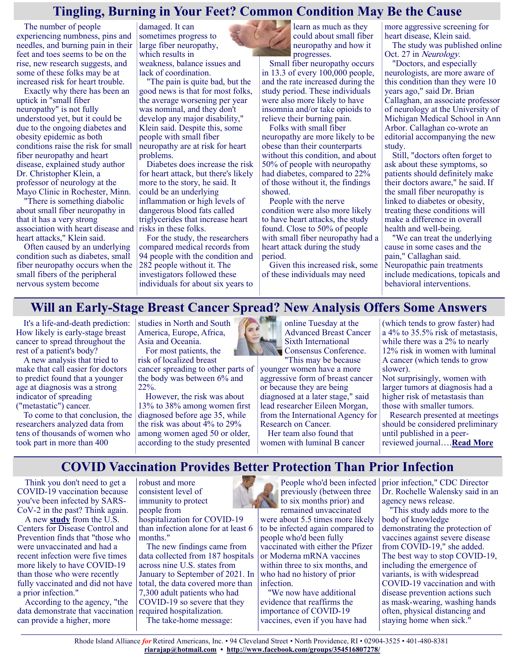# **Tingling, Burning in Your Feet? Common Condition May Be the Cause**

The number of people experiencing numbness, pins and needles, and burning pain in their feet and toes seems to be on the rise, new research suggests, and some of these folks may be at increased risk for heart trouble.

Exactly why there has been an uptick in "small fiber neuropathy" is not fully understood yet, but it could be due to the ongoing diabetes and obesity epidemic as both conditions raise the risk for small fiber neuropathy and heart disease, explained study author Dr. Christopher Klein, a professor of neurology at the Mayo Clinic in Rochester, Minn.

"There is something diabolic about small fiber neuropathy in that it has a very strong association with heart disease and heart attacks," Klein said.

Often caused by an underlying condition such as diabetes, small fiber neuropathy occurs when the small fibers of the peripheral nervous system become

damaged. It can sometimes progress to large fiber neuropathy, which results in weakness, balance issues and lack of coordination.

"The pain is quite bad, but the good news is that for most folks, the average worsening per year was nominal, and they don't develop any major disability," Klein said. Despite this, some people with small fiber neuropathy are at risk for heart problems.

Diabetes does increase the risk for heart attack, but there's likely more to the story, he said. It could be an underlying inflammation or high levels of dangerous blood fats called triglycerides that increase heart risks in these folks.

For the study, the researchers compared medical records from 94 people with the condition and 282 people without it. The investigators followed these individuals for about six years to learn as much as they could about small fiber neuropathy and how it progresses.

Small fiber neuropathy occurs in 13.3 of every 100,000 people, and the rate increased during the study period. These individuals were also more likely to have insomnia and/or take opioids to relieve their burning pain.

Folks with small fiber neuropathy are more likely to be obese than their counterparts without this condition, and about 50% of people with neuropathy had diabetes, compared to 22% of those without it, the findings showed.

People with the nerve condition were also more likely to have heart attacks, the study found. Close to 50% of people with small fiber neuropathy had a heart attack during the study period.

Given this increased risk, some of these individuals may need

more aggressive screening for heart disease, Klein said.

The study was published online Oct. 27 in Neurology.

"Doctors, and especially neurologists, are more aware of this condition than they were 10 years ago," said Dr. Brian Callaghan, an associate professor of neurology at the University of Michigan Medical School in Ann Arbor. Callaghan co-wrote an editorial accompanying the new study.

Still, "doctors often forget to ask about these symptoms, so patients should definitely make their doctors aware," he said. If the small fiber neuropathy is linked to diabetes or obesity, treating these conditions will make a difference in overall health and well-being.

"We can treat the underlying cause in some cases and the pain," Callaghan said. Neuropathic pain treatments include medications, topicals and behavioral interventions.

# **Will an Early-Stage Breast Cancer Spread? New Analysis Offers Some Answers**

It's a life-and-death prediction: How likely is early-stage breast cancer to spread throughout the rest of a patient's body?

A new analysis that tried to make that call easier for doctors to predict found that a younger age at diagnosis was a strong indicator of spreading ("metastatic") cancer.

To come to that conclusion, the researchers analyzed data from tens of thousands of women who took part in more than 400

studies in North and South America, Europe, Africa, Asia and Oceania.

For most patients, the risk of localized breast cancer spreading to other parts of the body was between 6% and 22%.

However, the risk was about 13% to 38% among women first diagnosed before age 35, while the risk was about 4% to 29% among women aged 50 or older, according to the study presented



online Tuesday at the Advanced Breast Cancer Sixth International Consensus Conference. "This may be because

younger women have a more aggressive form of breast cancer or because they are being diagnosed at a later stage," said lead researcher Eileen Morgan, from the International Agency for Research on Cancer.

Her team also found that women with luminal B cancer (which tends to grow faster) had a 4% to 35.5% risk of metastasis, while there was a 2% to nearly 12% risk in women with luminal A cancer (which tends to grow slower).

Not surprisingly, women with larger tumors at diagnosis had a higher risk of metastasis than those with smaller tumors.

Research presented at meetings should be considered preliminary until published in a peerreviewed journal….**[Read More](https://consumer.healthday.com/b-11-3-2655474420.html)**

# **COVID Vaccination Provides Better Protection Than Prior Infection**

Think you don't need to get a COVID-19 vaccination because you've been infected by SARS-CoV-2 in the past? Think again.

A new **[study](https://www.cdc.gov/mmwr/volumes/70/wr/mm7044e1.htm?s_cid=mm7044e1_w)** from the U.S. Centers for Disease Control and Prevention finds that "those who were unvaccinated and had a recent infection were five times more likely to have COVID-19 than those who were recently fully vaccinated and did not have a prior infection."

According to the agency, "the data demonstrate that vaccination can provide a higher, more

robust and more consistent level of immunity to protect people from

hospitalization for COVID-19 than infection alone for at least 6 months."

The new findings came from data collected from 187 hospitals across nine U.S. states from January to September of 2021. In total, the data covered more than 7,300 adult patients who had COVID-19 so severe that they required hospitalization.

The take-home message:

People who'd been infected previously (between three to six months prior) and remained unvaccinated

were about 5.5 times more likely to be infected again compared to people who'd been fully vaccinated with either the Pfizer or Moderna mRNA vaccines within three to six months, and who had no history of prior infection.

"We now have additional evidence that reaffirms the importance of COVID-19 vaccines, even if you have had prior infection," CDC Director Dr. Rochelle Walensky said in an agency news release.

"This study adds more to the body of knowledge demonstrating the protection of vaccines against severe disease from COVID-19," she added. The best way to stop COVID-19, including the emergence of variants, is with widespread COVID-19 vaccination and with disease prevention actions such as mask-wearing, washing hands often, physical distancing and staying home when sick."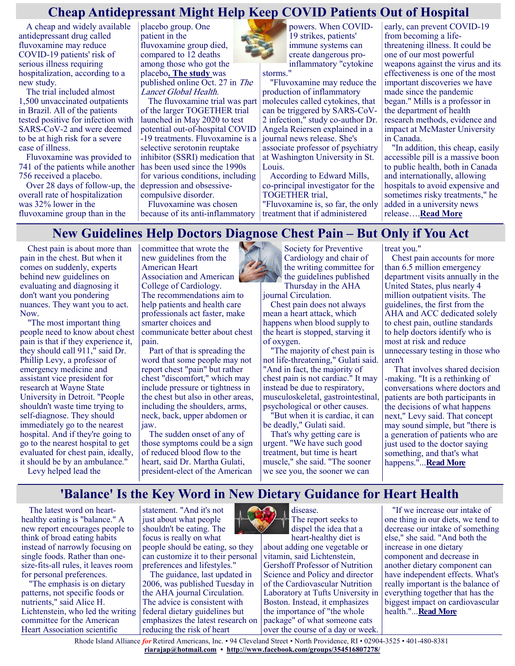# **Cheap Antidepressant Might Help Keep COVID Patients Out of Hospital**

A cheap and widely available antidepressant drug called fluvoxamine may reduce COVID-19 patients' risk of serious illness requiring hospitalization, according to a new study.

The trial included almost 1,500 unvaccinated outpatients in Brazil. All of the patients tested positive for infection with SARS-CoV-2 and were deemed to be at high risk for a severe case of illness.

Fluvoxamine was provided to 741 of the patients while another 756 received a placebo.

Over 28 days of follow-up, the overall rate of hospitalization was 32% lower in the fluvoxamine group than in the

placebo group. One patient in the fluvoxamine group died, compared to 12 deaths among those who got the placebo**. [The study](https://www.thelancet.com/journals/langlo/article/PIIS2214-109X(21)00448-4/fulltext)** was published online Oct. 27 in The Lancet Global Health.

The fluvoxamine trial was part of the larger TOGETHER trial launched in May 2020 to test potential out-of-hospital COVID -19 treatments. Fluvoxamine is a selective serotonin reuptake inhibitor (SSRI) medication that has been used since the 1990s for various conditions, including depression and obsessivecompulsive disorder.

Fluvoxamine was chosen because of its anti-inflammatory

powers. When COVID-19 strikes, patients' immune systems can create dangerous proinflammatory "cytokine storms."

"Fluvoxamine may reduce the production of inflammatory molecules called cytokines, that can be triggered by SARS-CoV-2 infection," study co-author Dr. Angela Reiersen explained in a journal news release. She's associate professor of psychiatry at Washington University in St. Louis.

According to Edward Mills, co-principal investigator for the TOGETHER trial, "Fluvoxamine is, so far, the only

treatment that if administered

early, can prevent COVID-19 from becoming a lifethreatening illness. It could be one of our most powerful weapons against the virus and its effectiveness is one of the most important discoveries we have made since the pandemic began." Mills is a professor in the department of health research methods, evidence and impact at McMaster University in Canada.

"In addition, this cheap, easily accessible pill is a massive boon to public health, both in Canada and internationally, allowing hospitals to avoid expensive and sometimes risky treatments," he added in a university news release….**[Read More](https://consumer.healthday.com/sb-10-28-antidepressant-might-help-keep-covid-patients-out-of-hospital-2655404294.html)**

# **New Guidelines Help Doctors Diagnose Chest Pain – But Only if You Act**

Chest pain is about more than pain in the chest. But when it comes on suddenly, experts behind new guidelines on evaluating and diagnosing it don't want you pondering nuances. They want you to act. Now.

"The most important thing people need to know about chest pain is that if they experience it, they should call 911," said Dr. Phillip Levy, a professor of emergency medicine and assistant vice president for research at Wayne State University in Detroit. "People shouldn't waste time trying to self-diagnose. They should immediately go to the nearest hospital. And if they're going to go to the nearest hospital to get evaluated for chest pain, ideally, it should be by an ambulance."

Levy helped lead the

committee that wrote the new guidelines from the American Heart Association and American College of Cardiology. The recommendations aim to help patients and health care professionals act faster, make smarter choices and communicate better about chest pain.

Part of that is spreading the word that some people may not report chest "pain" but rather chest "discomfort," which may include pressure or tightness in the chest but also in other areas, including the shoulders, arms, neck, back, upper abdomen or jaw.

The sudden onset of any of those symptoms could be a sign of reduced blood flow to the heart, said Dr. Martha Gulati, president-elect of the American



the guidelines published Thursday in the AHA journal Circulation.

Chest pain does not always mean a heart attack, which happens when blood supply to the heart is stopped, starving it of oxygen.

"The majority of chest pain is not life-threatening," Gulati said. "And in fact, the majority of chest pain is not cardiac." It may instead be due to respiratory, musculoskeletal, gastrointestinal, psychological or other causes.

"But when it is cardiac, it can be deadly," Gulati said.

That's why getting care is urgent. "We have such good treatment, but time is heart muscle," she said. "The sooner we see you, the sooner we can

treat you."

Chest pain accounts for more than 6.5 million emergency department visits annually in the United States, plus nearly 4 million outpatient visits. The guidelines, the first from the AHA and ACC dedicated solely to chest pain, outline standards to help doctors identify who is most at risk and reduce unnecessary testing in those who aren't

That involves shared decision -making. "It is a rethinking of conversations where doctors and patients are both participants in the decisions of what happens next," Levy said. That concept may sound simple, but "there is a generation of patients who are just used to the doctor saying something, and that's what happens."...**[Read More](https://consumer.healthday.com/aha-news-new-guidelines-help-doctors-diagnose-chest-pain-but-only-if-you-act-2655427367.html)**

# **'Balance' Is the Key Word in New Dietary Guidance for Heart Health**

The latest word on hearthealthy eating is "balance." A new report encourages people to think of broad eating habits instead of narrowly focusing on single foods. Rather than onesize-fits-all rules, it leaves room for personal preferences.

"The emphasis is on dietary patterns, not specific foods or nutrients," said Alice H. Lichtenstein, who led the writing committee for the American Heart Association scientific



can customize it to their personal preferences and lifestyles."

The guidance, last updated in 2006, was published Tuesday in the AHA journal Circulation. The advice is consistent with federal dietary guidelines but emphasizes the latest research on reducing the risk of heart



disease. The report seeks to dispel the idea that a heart-healthy diet is

about adding one vegetable or vitamin, said Lichtenstein, Gershoff Professor of Nutrition Science and Policy and director of the Cardiovascular Nutrition Laboratory at Tufts University in Boston. Instead, it emphasizes the importance of "the whole package" of what someone eats over the course of a day or week.

"If we increase our intake of one thing in our diets, we tend to decrease our intake of something else," she said. "And both the increase in one dietary component and decrease in another dietary component can have independent effects. What's really important is the balance of everything together that has the biggest impact on cardiovascular health."...**[Read More](https://consumer.healthday.com/aha-news-balance-is-the-key-word-in-new-dietary-guidance-for-heart-health-2655479257.html)**